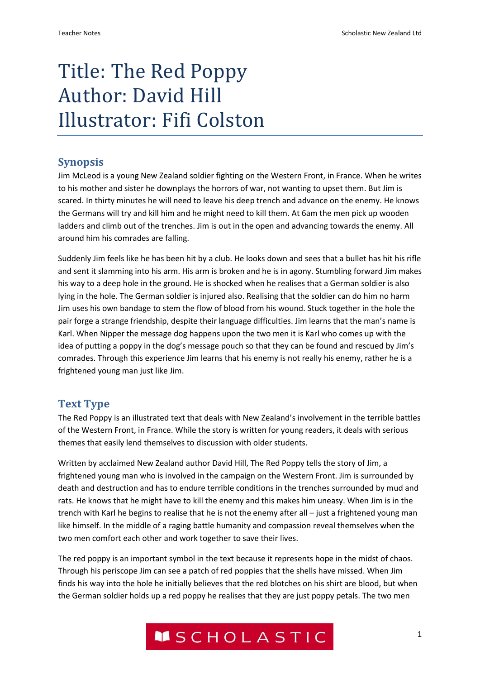# Title: The Red Poppy Author: David Hill Illustrator: Fifi Colston

## **Synopsis**

Jim McLeod is a young New Zealand soldier fighting on the Western Front, in France. When he writes to his mother and sister he downplays the horrors of war, not wanting to upset them. But Jim is scared. In thirty minutes he will need to leave his deep trench and advance on the enemy. He knows the Germans will try and kill him and he might need to kill them. At 6am the men pick up wooden ladders and climb out of the trenches. Jim is out in the open and advancing towards the enemy. All around him his comrades are falling.

Suddenly Jim feels like he has been hit by a club. He looks down and sees that a bullet has hit his rifle and sent it slamming into his arm. His arm is broken and he is in agony. Stumbling forward Jim makes his way to a deep hole in the ground. He is shocked when he realises that a German soldier is also lying in the hole. The German soldier is injured also. Realising that the soldier can do him no harm Jim uses his own bandage to stem the flow of blood from his wound. Stuck together in the hole the pair forge a strange friendship, despite their language difficulties. Jim learns that the man's name is Karl. When Nipper the message dog happens upon the two men it is Karl who comes up with the idea of putting a poppy in the dog's message pouch so that they can be found and rescued by Jim's comrades. Through this experience Jim learns that his enemy is not really his enemy, rather he is a frightened young man just like Jim.

## **Text Type**

The Red Poppy is an illustrated text that deals with New Zealand's involvement in the terrible battles of the Western Front, in France. While the story is written for young readers, it deals with serious themes that easily lend themselves to discussion with older students.

Written by acclaimed New Zealand author David Hill, The Red Poppy tells the story of Jim, a frightened young man who is involved in the campaign on the Western Front. Jim is surrounded by death and destruction and has to endure terrible conditions in the trenches surrounded by mud and rats. He knows that he might have to kill the enemy and this makes him uneasy. When Jim is in the trench with Karl he begins to realise that he is not the enemy after all – just a frightened young man like himself. In the middle of a raging battle humanity and compassion reveal themselves when the two men comfort each other and work together to save their lives.

The red poppy is an important symbol in the text because it represents hope in the midst of chaos. Through his periscope Jim can see a patch of red poppies that the shells have missed. When Jim finds his way into the hole he initially believes that the red blotches on his shirt are blood, but when the German soldier holds up a red poppy he realises that they are just poppy petals. The two men

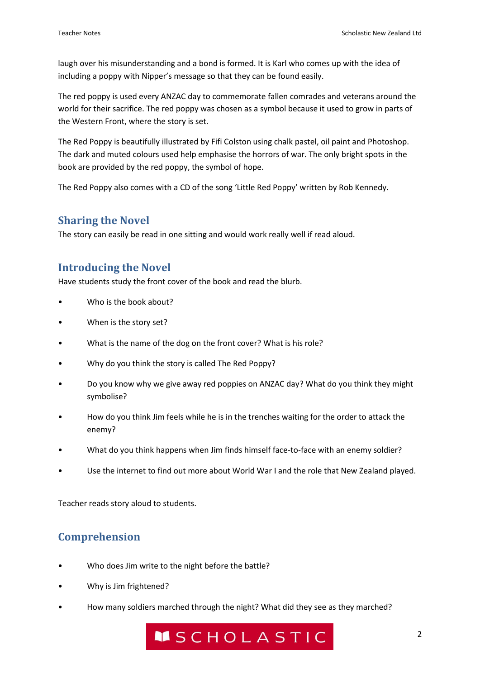laugh over his misunderstanding and a bond is formed. It is Karl who comes up with the idea of including a poppy with Nipper's message so that they can be found easily.

The red poppy is used every ANZAC day to commemorate fallen comrades and veterans around the world for their sacrifice. The red poppy was chosen as a symbol because it used to grow in parts of the Western Front, where the story is set.

The Red Poppy is beautifully illustrated by Fifi Colston using chalk pastel, oil paint and Photoshop. The dark and muted colours used help emphasise the horrors of war. The only bright spots in the book are provided by the red poppy, the symbol of hope.

The Red Poppy also comes with a CD of the song 'Little Red Poppy' written by Rob Kennedy.

#### **Sharing the Novel**

The story can easily be read in one sitting and would work really well if read aloud.

#### **Introducing the Novel**

Have students study the front cover of the book and read the blurb.

- Who is the book about?
- When is the story set?
- What is the name of the dog on the front cover? What is his role?
- Why do you think the story is called The Red Poppy?
- Do you know why we give away red poppies on ANZAC day? What do you think they might symbolise?
- How do you think Jim feels while he is in the trenches waiting for the order to attack the enemy?
- What do you think happens when Jim finds himself face-to-face with an enemy soldier?
- Use the internet to find out more about World War I and the role that New Zealand played.

Teacher reads story aloud to students.

## **Comprehension**

- Who does Jim write to the night before the battle?
- Why is Jim frightened?
- How many soldiers marched through the night? What did they see as they marched?

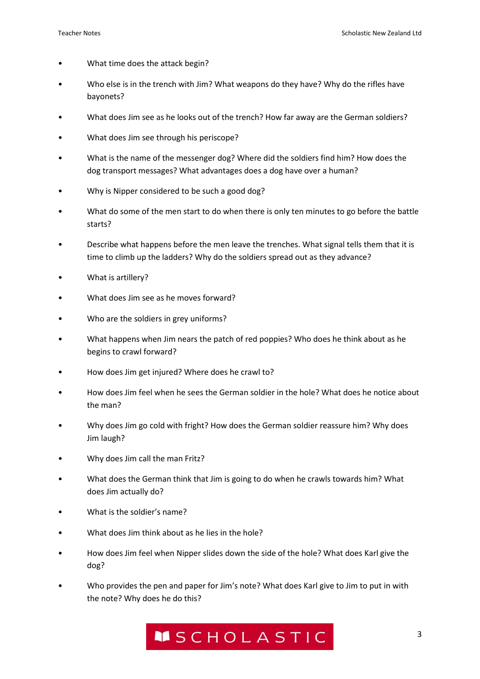- What time does the attack begin?
- Who else is in the trench with Jim? What weapons do they have? Why do the rifles have bayonets?
- What does Jim see as he looks out of the trench? How far away are the German soldiers?
- What does Jim see through his periscope?
- What is the name of the messenger dog? Where did the soldiers find him? How does the dog transport messages? What advantages does a dog have over a human?
- Why is Nipper considered to be such a good dog?
- What do some of the men start to do when there is only ten minutes to go before the battle starts?
- Describe what happens before the men leave the trenches. What signal tells them that it is time to climb up the ladders? Why do the soldiers spread out as they advance?
- What is artillery?
- What does Jim see as he moves forward?
- Who are the soldiers in grey uniforms?
- What happens when Jim nears the patch of red poppies? Who does he think about as he begins to crawl forward?
- How does Jim get injured? Where does he crawl to?
- How does Jim feel when he sees the German soldier in the hole? What does he notice about the man?
- Why does Jim go cold with fright? How does the German soldier reassure him? Why does Jim laugh?
- Why does Jim call the man Fritz?
- What does the German think that Jim is going to do when he crawls towards him? What does Jim actually do?
- What is the soldier's name?
- What does Jim think about as he lies in the hole?
- How does Jim feel when Nipper slides down the side of the hole? What does Karl give the dog?
- Who provides the pen and paper for Jim's note? What does Karl give to Jim to put in with the note? Why does he do this?

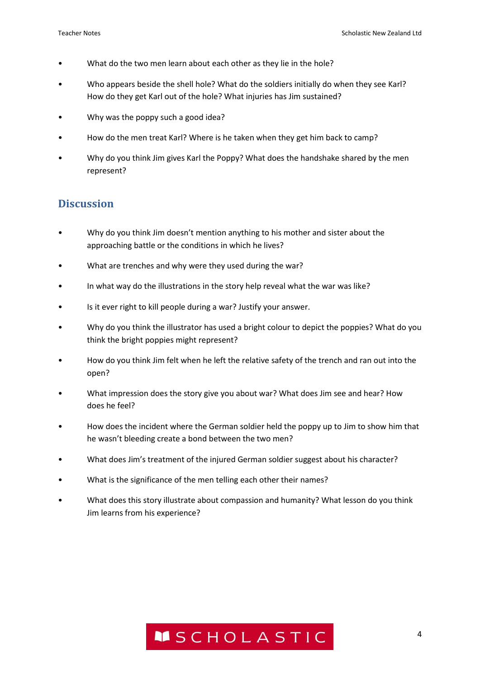- What do the two men learn about each other as they lie in the hole?
- Who appears beside the shell hole? What do the soldiers initially do when they see Karl? How do they get Karl out of the hole? What injuries has Jim sustained?
- Why was the poppy such a good idea?
- How do the men treat Karl? Where is he taken when they get him back to camp?
- Why do you think Jim gives Karl the Poppy? What does the handshake shared by the men represent?

#### **Discussion**

- Why do you think Jim doesn't mention anything to his mother and sister about the approaching battle or the conditions in which he lives?
- What are trenches and why were they used during the war?
- In what way do the illustrations in the story help reveal what the war was like?
- Is it ever right to kill people during a war? Justify your answer.
- Why do you think the illustrator has used a bright colour to depict the poppies? What do you think the bright poppies might represent?
- How do you think Jim felt when he left the relative safety of the trench and ran out into the open?
- What impression does the story give you about war? What does Jim see and hear? How does he feel?
- How does the incident where the German soldier held the poppy up to Jim to show him that he wasn't bleeding create a bond between the two men?
- What does Jim's treatment of the injured German soldier suggest about his character?
- What is the significance of the men telling each other their names?
- What does this story illustrate about compassion and humanity? What lesson do you think Jim learns from his experience?